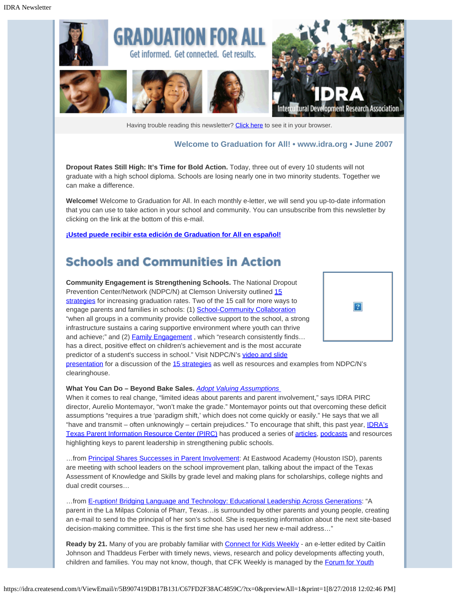

Having trouble reading this newsletter? [Click here](http://idra.createsend.com/t/1/e/trkti/l/) to see it in your browser.

#### **Welcome to Graduation for All! • [www.idra.org](http://idra.createsend.com/t/1/l/trkti/l/www.idra.org) • June 2007**

 $\mathbf{P}$ 

**Dropout Rates Still High: It's Time for Bold Action.** Today, three out of every 10 students will not graduate with a high school diploma. Schools are losing nearly one in two minority students. Together we can make a difference.

**Welcome!** Welcome to Graduation for All. In each monthly e-letter, we will send you up-to-date information that you can use to take action in your school and community. You can unsubscribe from this newsletter by clicking on the link at the bottom of this e-mail.

**[¡Usted puede recibir esta edición de Graduation for All en español!](http://idra.createsend.com/t/1/l/trkti/l/idra.createsend.com/t/1/e/trkdr/l/)**

## **Schools and Communities in Action**

**Community Engagement is Strengthening Schools.** The National Dropout Prevention Center/Network (NDPC/N) at Clemson University outlined [15](http://idra.createsend.com/t/1/l/trkti/l/www.dropoutprevention.org/effstrat/default.htm) [strategies](http://idra.createsend.com/t/1/l/trkti/l/www.dropoutprevention.org/effstrat/default.htm) for increasing graduation rates. Two of the 15 call for more ways to engage parents and families in schools: (1) [School-Community Collaboration](http://idra.createsend.com/t/1/l/trkti/l/www.dropoutprevention.org/effstrat/school_community_collab/overview.htm) "when all groups in a community provide collective support to the school, a strong infrastructure sustains a caring supportive environment where youth can thrive and achieve;" and (2) **Family Engagement**, which "research consistently finds... has a direct, positive effect on children's achievement and is the most accurate predictor of a student's success in school." Visit NDPC/N's [video and slide](http://idra.createsend.com/t/1/l/trkti/l/dle-mediasite-hehd.clemson.edu/Mediasite/Viewer/Viewers/Viewer240TL3Banner.aspx?mode=Default&peid=1d84b884-4d32-41e9-b761-64878271fd38&pid=6c467774-ee3c-4890-977c-89f5a44b170f&playerType=WM7) [presentation](http://idra.createsend.com/t/1/l/trkti/l/dle-mediasite-hehd.clemson.edu/Mediasite/Viewer/Viewers/Viewer240TL3Banner.aspx?mode=Default&peid=1d84b884-4d32-41e9-b761-64878271fd38&pid=6c467774-ee3c-4890-977c-89f5a44b170f&playerType=WM7) for a discussion of the [15 strategies](http://idra.createsend.com/t/1/l/trkti/l/www.dropoutprevention.org/effstrat/default.htm) as well as resources and examples from NDPC/N's clearinghouse.

#### **What You Can Do – Beyond Bake Sales.** *[Adopt Valuing Assumptions](http://idra.createsend.com/t/1/l/trkti/l/www.idra.org/Texas_IDRA_PIRC.htm/About/Valuing_Assumptions/)*

When it comes to real change, "limited ideas about parents and parent involvement," says IDRA PIRC director, Aurelio Montemayor, "won't make the grade." Montemayor points out that overcoming these deficit assumptions "requires a true 'paradigm shift,' which does not come quickly or easily." He says that we all "have and transmit – often unknowingly – certain prejudices." To encourage that shift, this past year, [IDRA's](http://idra.createsend.com/t/1/l/trkti/l/www.idra.org/Texas_IDRA_PIRC.htm/) [Texas Parent Information Resource Center \(PIRC\)](http://idra.createsend.com/t/1/l/trkti/l/www.idra.org/Texas_IDRA_PIRC.htm/) has produced a series of [articles,](http://idra.createsend.com/t/1/l/trkti/l/www.idra.org/IDRA_Newsletters/) [podcasts](http://idra.createsend.com/t/1/l/trkti/l/www.idra.org/Podcasts/) and resources highlighting keys to parent leadership in strengthening public schools.

...from [Principal Shares Successes in Parent Involvement](http://idra.createsend.com/t/1/l/trkti/l/www.idra.org/IDRA_Newsletters/August_2006_Community_Engagement/Principal_Shares_Successes_in_Parent_Involvement/): At Eastwood Academy (Houston ISD), parents are meeting with school leaders on the school improvement plan, talking about the impact of the Texas Assessment of Knowledge and Skills by grade level and making plans for scholarships, college nights and dual credit courses…

…from [E-ruption! Bridging Language and Technology: Educational Leadership Across Generations](http://idra.createsend.com/t/1/l/trkti/l/www.idra.org/IDRA_Newsletters/March_2006_Student_Engagement/E-ruption!_Bridging_Language_and_Technology_-_Educational_Leadership_Across_Generations/): "A parent in the La Milpas Colonia of Pharr, Texas…is surrounded by other parents and young people, creating an e-mail to send to the principal of her son's school. She is requesting information about the next site-based decision-making committee. This is the first time she has used her new e-mail address…"

Ready by 21. Many of you are probably familiar with **[Connect for Kids Weekly](http://idra.createsend.com/t/1/l/trkti/l/www.connectforkids.org/) - an e-letter edited by Caitlin** Johnson and Thaddeus Ferber with timely news, views, research and policy developments affecting youth, children and families. You may not know, though, that CFK Weekly is managed by the [Forum for Youth](http://idra.createsend.com/t/1/l/trkti/l/www.forumfyi.org/)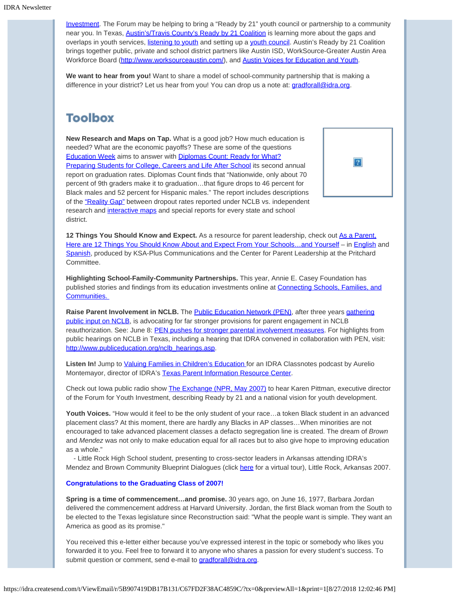[Investment](http://idra.createsend.com/t/1/l/trkti/l/www.forumfyi.org/). The Forum may be helping to bring a "Ready by 21" youth council or partnership to a community near you. In Texas, [Austin's/Travis County's Ready by 21 Coalition](http://idra.createsend.com/t/1/l/trkti/l/www.readyby21austin.org/index.php) is learning more about the gaps and overlaps in youth services, [listening to youth](http://idra.createsend.com/t/1/l/trkti/l/www.readyby21austin.org/yv-youthsaid.php) and setting up a [youth council.](http://idra.createsend.com/t/1/l/trkti/l/www.readyby21austin.org/youthcouncil.php) Austin's Ready by 21 Coalition brings together public, private and school district partners like Austin ISD, WorkSource-Greater Austin Area Workforce Board [\(http://www.worksourceaustin.com/\)](http://idra.createsend.com/t/1/l/trkti/l/www.worksourceaustin.com/), and [Austin Voices for Education and Youth](http://idra.createsend.com/t/1/l/trkti/l/www.austinvoices.org/).

**We want to hear from you!** Want to share a model of school-community partnership that is making a difference in your district? Let us hear from you! You can drop us a note at: *gradforall@idra.org*.

# **Toolbox**

**New Research and Maps on Tap.** What is a good job? How much education is needed? What are the economic payoffs? These are some of the questions **[Education Week](http://idra.createsend.com/t/1/l/trkti/l/www.edweek.org/ew/index.html) aims to answer with [Diplomas Count: Ready for What?](http://idra.createsend.com/t/1/l/trkti/l/www.edweek.org/ew/toc/2007/06/12/index.html)** [Preparing Students for College, Careers and Life After School](http://idra.createsend.com/t/1/l/trkti/l/www.edweek.org/ew/toc/2007/06/12/index.html) its second annual report on graduation rates. Diplomas Count finds that "Nationwide, only about 70 percent of 9th graders make it to graduation…that figure drops to 46 percent for Black males and 52 percent for Hispanic males." The report includes descriptions of the ["Reality Gap"](http://idra.createsend.com/t/1/l/trkti/l/www.edweek.org/media/ew/dc/2007/DC07_PressConf_presentation.pdf) between dropout rates reported under NCLB vs. independent research and [interactive maps](http://idra.createsend.com/t/1/l/trkti/l/mapsg.edweek.org/edweekv2/default.jsp) and special reports for every state and school district.

| ? |
|---|
|---|

**12 Things You Should Know and Expect.** As a resource for parent leadership, check out [As a Parent,](http://idra.createsend.com/t/1/l/trkti/l/www.centerforparentleadership.org/publications.html) Here are 12 Things You Should Know About and Expect From Your Schools...and Yourself – in [English](http://idra.createsend.com/t/1/l/trkti/l/www.centerforparentleadership.org/12_tips.pdf) and [Spanish](http://idra.createsend.com/t/1/l/trkti/l/www.centerforparentleadership.org/12%20ideas_Espanol_NEWEST.doc), produced by KSA-Plus Communications and the Center for Parent Leadership at the Pritchard Committee.

**Highlighting School-Family-Community Partnerships.** This year, Annie E. Casey Foundation has published stories and findings from its education investments online at [Connecting Schools, Families, and](http://idra.createsend.com/t/1/l/trkti/l/www.aecf.org/upload/PublicationFiles/ED3622H5045.pdf) [Communities.](http://idra.createsend.com/t/1/l/trkti/l/www.aecf.org/upload/PublicationFiles/ED3622H5045.pdf) 

**Raise Parent Involvement in NCLB.** The **Public Education Network (PEN)**, after three years *gathering* [public input on NCLB](http://idra.createsend.com/t/1/l/trkti/l/www.publiceducation.org/nclb_hearings.asp), is advocating for far stronger provisions for parent engagement in NCLB reauthorization. See: June 8: [PEN pushes for stronger parental involvement measures](http://idra.createsend.com/t/1/l/trkti/l/www.publiceducation.org/../pen_news/archive/20070608_PEN.asp). For highlights from public hearings on NCLB in Texas, including a hearing that IDRA convened in collaboration with PEN, visit: [http://www.publiceducation.org/nclb\\_hearings.asp](http://idra.createsend.com/t/1/l/trkti/l/www.publiceducation.org/nclb_hearings.asp).

Listen In! Jump to [Valuing Families in Children's Education](http://idra.createsend.com/t/1/l/trkti/l/www.idra.org/images/stories/CN-11.mp3) for an IDRA Classnotes podcast by Aurelio Montemayor, director of IDRA's [Texas Parent Information Resource Center](http://idra.createsend.com/t/1/l/trkti/l/www.idra.org/Texas_IDRA_PIRC.htm/).

Check out Iowa public radio show [The Exchange \(NPR, May 2007\)](http://idra.createsend.com/t/1/l/trkti/l/www.forumfyi.org/Files/02_Karen_interview_WSUI.mp3) to hear Karen Pittman, executive director of the Forum for Youth Investment, describing Ready by 21 and a national vision for youth development.

**Youth Voices.** "How would it feel to be the only student of your race…a token Black student in an advanced placement class? At this moment, there are hardly any Blacks in AP classes…When minorities are not encouraged to take advanced placement classes a defacto segregation line is created. The dream of *Brown* and *Mendez* was not only to make education equal for all races but to also give hope to improving education as a whole."

 - Little Rock High School student, presenting to cross-sector leaders in Arkansas attending IDRA's Mendez and Brown Community Blueprint Dialogues (click [here](http://idra.createsend.com/t/1/l/trkti/l/www.idra.org/mendezbrown/virtual.html) for a virtual tour), Little Rock, Arkansas 2007.

#### **Congratulations to the Graduating Class of 2007!**

**Spring is a time of commencement…and promise.** 30 years ago, on June 16, 1977, Barbara Jordan delivered the commencement address at Harvard University. Jordan, the first Black woman from the South to be elected to the Texas legislature since Reconstruction said: "What the people want is simple. They want an America as good as its promise."

You received this e-letter either because you've expressed interest in the topic or somebody who likes you forwarded it to you. Feel free to forward it to anyone who shares a passion for every student's success. To submit question or comment, send e-mail to *gradforall@idra.org*.